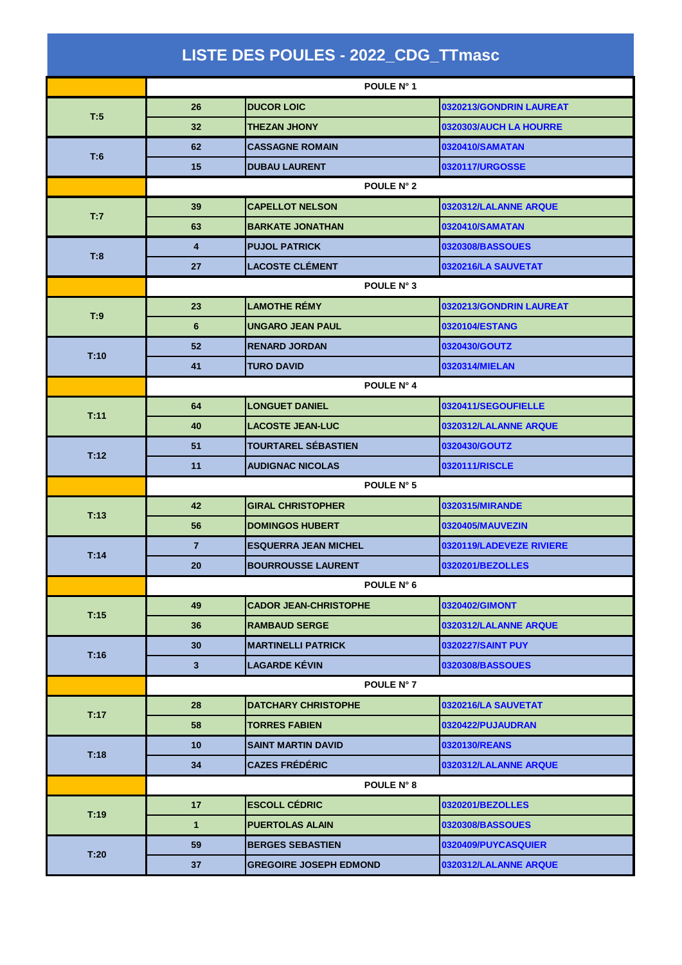|      |                 | LISTE DES POULES - 2022_CDG_TTmasc |                          |
|------|-----------------|------------------------------------|--------------------------|
|      |                 | POULE N° 1                         |                          |
| T:5  | 26              | <b>DUCOR LOIC</b>                  | 0320213/GONDRIN LAUREAT  |
|      | 32              | <b>THEZAN JHONY</b>                | 0320303/AUCH LA HOURRE   |
| T:6  | 62              | <b>CASSAGNE ROMAIN</b>             | 0320410/SAMATAN          |
|      | 15              | <b>DUBAU LAURENT</b>               | 0320117/URGOSSE          |
|      |                 | POULE N° 2                         |                          |
| T:7  | 39              | <b>CAPELLOT NELSON</b>             | 0320312/LALANNE ARQUE    |
|      | 63              | <b>BARKATE JONATHAN</b>            | 0320410/SAMATAN          |
| T:8  | 4               | <b>PUJOL PATRICK</b>               | 0320308/BASSOUES         |
|      | 27              | <b>LACOSTE CLÉMENT</b>             | 0320216/LA SAUVETAT      |
|      | POULE N° 3      |                                    |                          |
| T:9  | 23              | <b>LAMOTHE RÉMY</b>                | 0320213/GONDRIN LAUREAT  |
|      | $6\phantom{1}6$ | <b>UNGARO JEAN PAUL</b>            | 0320104/ESTANG           |
| T:10 | 52              | <b>RENARD JORDAN</b>               | 0320430/GOUTZ            |
|      | 41              | <b>TURO DAVID</b>                  | 0320314/MIELAN           |
|      |                 | POULE N° 4                         |                          |
| T.11 | 64              | <b>LONGUET DANIEL</b>              | 0320411/SEGOUFIELLE      |
|      | 40              | <b>LACOSTE JEAN-LUC</b>            | 0320312/LALANNE ARQUE    |
| T:12 | 51              | <b>TOURTAREL SÉBASTIEN</b>         | 0320430/GOUTZ            |
|      | 11              | <b>AUDIGNAC NICOLAS</b>            | 0320111/RISCLE           |
|      |                 | POULE N° 5                         |                          |
| T:13 | 42              | <b>GIRAL CHRISTOPHER</b>           | 0320315/MIRANDE          |
|      | 56              | <b>DOMINGOS HUBERT</b>             | 0320405/MAUVEZIN         |
| T:14 | $\overline{7}$  | <b>ESQUERRA JEAN MICHEL</b>        | 0320119/LADEVEZE RIVIERE |
|      | 20              | <b>BOURROUSSE LAURENT</b>          | 0320201/BEZOLLES         |
|      |                 | POULE N° 6                         |                          |
| T:15 | 49              | <b>CADOR JEAN-CHRISTOPHE</b>       | 0320402/GIMONT           |
|      | 36              | <b>RAMBAUD SERGE</b>               | 0320312/LALANNE ARQUE    |
| T:16 | 30              | <b>MARTINELLI PATRICK</b>          | 0320227/SAINT PUY        |
|      | $\mathbf{3}$    | <b>LAGARDE KÉVIN</b>               | 0320308/BASSOUES         |
|      |                 | POULE N° 7                         |                          |
| T:17 | 28              | <b>DATCHARY CHRISTOPHE</b>         | 0320216/LA SAUVETAT      |
|      | 58              | <b>TORRES FABIEN</b>               | 0320422/PUJAUDRAN        |
| T:18 | 10              | <b>SAINT MARTIN DAVID</b>          | 0320130/REANS            |
|      | 34              | <b>CAZES FRÉDÉRIC</b>              | 0320312/LALANNE ARQUE    |
|      |                 | POULE N° 8                         |                          |
| T:19 | 17              | <b>ESCOLL CÉDRIC</b>               | 0320201/BEZOLLES         |
|      | $\mathbf{1}$    | <b>PUERTOLAS ALAIN</b>             | 0320308/BASSOUES         |
| T:20 | 59              | <b>BERGES SEBASTIEN</b>            | 0320409/PUYCASQUIER      |
|      | 37              | <b>GREGOIRE JOSEPH EDMOND</b>      | 0320312/LALANNE ARQUE    |